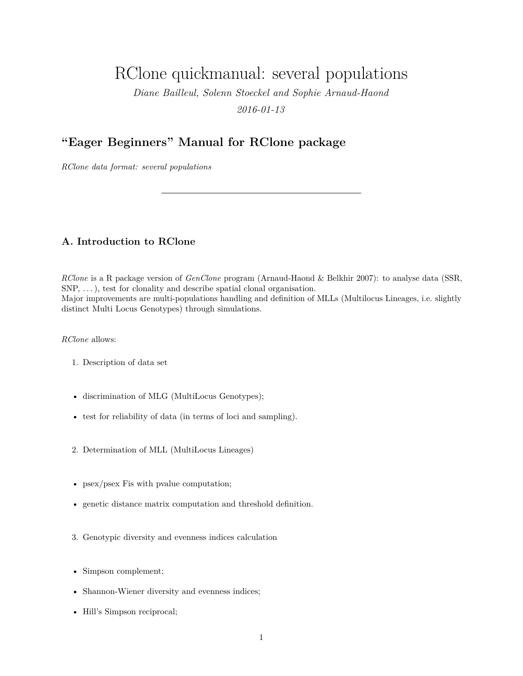# RClone quickmanual: several populations

*Diane Bailleul, Solenn Stoeckel and Sophie Arnaud-Haond*

*2016-01-13*

## **"Eager Beginners" Manual for RClone package**

*RClone data format: several populations*

## **A. Introduction to RClone**

*RClone* is a R package version of *GenClone* program (Arnaud-Haond & Belkhir 2007): to analyse data (SSR,  $SNP, \ldots$ , test for clonality and describe spatial clonal organisation. Major improvements are multi-populations handling and definition of MLLs (Multilocus Lineages, i.e. slightly distinct Multi Locus Genotypes) through simulations.

*RClone* allows:

- 1. Description of data set
- discrimination of MLG (MultiLocus Genotypes);
- test for reliability of data (in terms of loci and sampling).
- 2. Determination of MLL (MultiLocus Lineages)
- psex/psex Fis with pvalue computation;
- genetic distance matrix computation and threshold definition.
- 3. Genotypic diversity and evenness indices calculation
- Simpson complement;
- Shannon-Wiener diversity and evenness indices;
- Hill's Simpson reciprocal;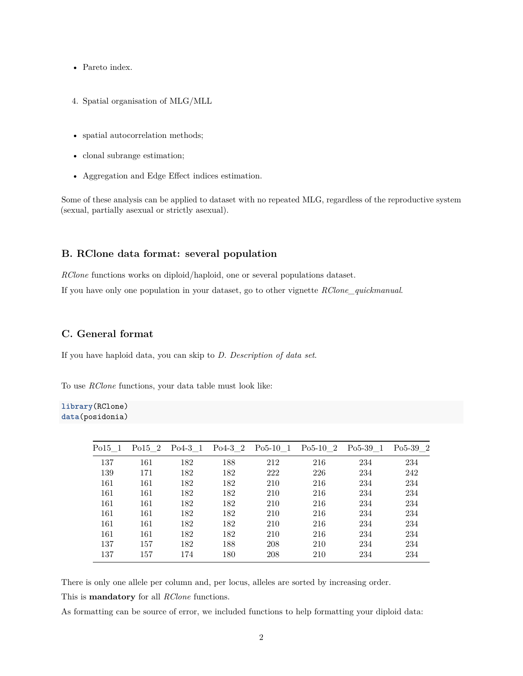- Pareto index.
- 4. Spatial organisation of MLG/MLL
- spatial autocorrelation methods;
- clonal subrange estimation;
- Aggregation and Edge Effect indices estimation.

Some of these analysis can be applied to dataset with no repeated MLG, regardless of the reproductive system (sexual, partially asexual or strictly asexual).

## **B. RClone data format: several population**

*RClone* functions works on diploid/haploid, one or several populations dataset.

If you have only one population in your dataset, go to other vignette *RClone\_quickmanual*.

## **C. General format**

If you have haploid data, you can skip to *D. Description of data set*.

To use *RClone* functions, your data table must look like:

**library**(RClone) **data**(posidonia)

| Po15 1 | Po15 2 | $Po4-3$ 1 | $Po4-3$ 2 | $Po5-10$ 1 | $Po5-10$ 2 | $Po5-39$ 1 | $Po5-39$ 2 |
|--------|--------|-----------|-----------|------------|------------|------------|------------|
| 137    | 161    | 182       | 188       | 212        | 216        | 234        | 234        |
| 139    | 171    | 182       | 182       | 222        | 226        | 234        | 242        |
| 161    | 161    | 182       | 182       | 210        | 216        | 234        | 234        |
| 161    | 161    | 182       | 182       | 210        | 216        | 234        | 234        |
| 161    | 161    | 182       | 182       | 210        | 216        | 234        | 234        |
| 161    | 161    | 182       | 182       | 210        | 216        | 234        | 234        |
| 161    | 161    | 182       | 182       | 210        | 216        | 234        | 234        |
| 161    | 161    | 182       | 182       | 210        | 216        | 234        | 234        |
| 137    | 157    | 182       | 188       | 208        | 210        | 234        | 234        |
| 137    | 157    | 174       | 180       | 208        | 210        | 234        | 234        |

There is only one allele per column and, per locus, alleles are sorted by increasing order.

This is **mandatory** for all *RClone* functions.

As formatting can be source of error, we included functions to help formatting your diploid data: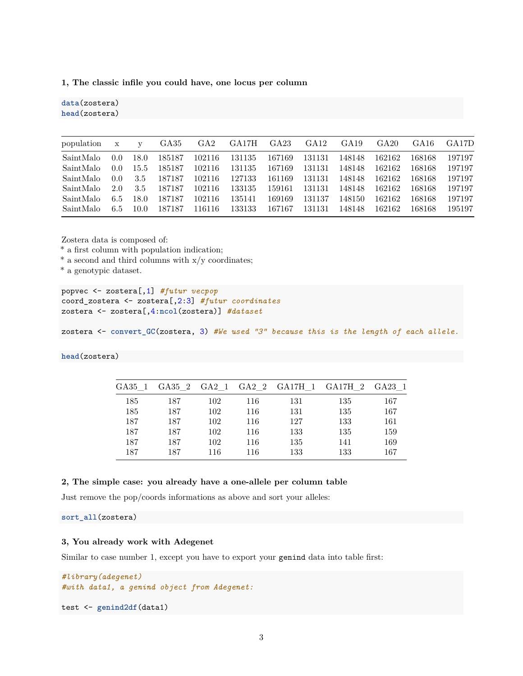**1, The classic infile you could have, one locus per column**

| population | $\mathbf x$ | $\mathbf{V}$ | GA35   | GA <sub>2</sub> | GA17H  | GA <sub>23</sub> | GA <sub>12</sub> | GA19   | GA20   | GA16   | GA17D  |
|------------|-------------|--------------|--------|-----------------|--------|------------------|------------------|--------|--------|--------|--------|
| SaintMalo  | 0.0         | 18.0         | 185187 | 102116          | 131135 | 167169           | 131131           | 148148 | 162162 | 168168 | 197197 |
| SaintMalo  | 0.0         | 15.5         | 185187 | 102116          | 131135 | 167169           | 131131           | 148148 | 162162 | 168168 | 197197 |
| SaintMalo  | 0.0         | 3.5          | 187187 | 102116          | 127133 | 161169           | 131131           | 148148 | 162162 | 168168 | 197197 |
| SaintMalo  | 2.0         | 3.5          | 187187 | 102116          | 133135 | 159161           | 131131           | 148148 | 162162 | 168168 | 197197 |
| SaintMalo  | 6.5         | 18.0         | 187187 | 102116          | 135141 | 169169           | 131137           | 148150 | 162162 | 168168 | 197197 |
| SaintMalo  | 6.5         | 10.0         | 187187 | 116116          | 133133 | 167167           | 131131           | 148148 | 162162 | 168168 | 195197 |

Zostera data is composed of:

\* a first column with population indication;

 $*$  a second and third columns with  $x/y$  coordinates;

\* a genotypic dataset.

**data**(zostera) **head**(zostera)

popvec <- zostera[,1] *#futur vecpop* coord\_zostera <- zostera[,2:3] *#futur coordinates* zostera <- zostera[,4:**ncol**(zostera)] *#dataset*

zostera <- **convert\_GC**(zostera, 3) *#We used "3" because this is the length of each allele.*

### **head**(zostera)

| GA35 1 | GA35 2 GA2 1 |     |     |     | GA2 2 GA17H 1 GA17H 2 GA23 1 |     |
|--------|--------------|-----|-----|-----|------------------------------|-----|
| 185    | 187          | 102 | 116 | 131 | 135                          | 167 |
| 185    | 187          | 102 | 116 | 131 | 135                          | 167 |
| 187    | 187          | 102 | 116 | 127 | 133                          | 161 |
| 187    | 187          | 102 | 116 | 133 | 135                          | 159 |
| 187    | 187          | 102 | 116 | 135 | 141                          | 169 |
| 187    | 187          | 116 | 116 | 133 | 133                          | 167 |

#### **2, The simple case: you already have a one-allele per column table**

Just remove the pop/coords informations as above and sort your alleles:

**sort\_all**(zostera)

## **3, You already work with Adegenet**

Similar to case number 1, except you have to export your genind data into table first:

```
#library(adegenet)
#with data1, a genind object from Adegenet:
```
test <- **genind2df**(data1)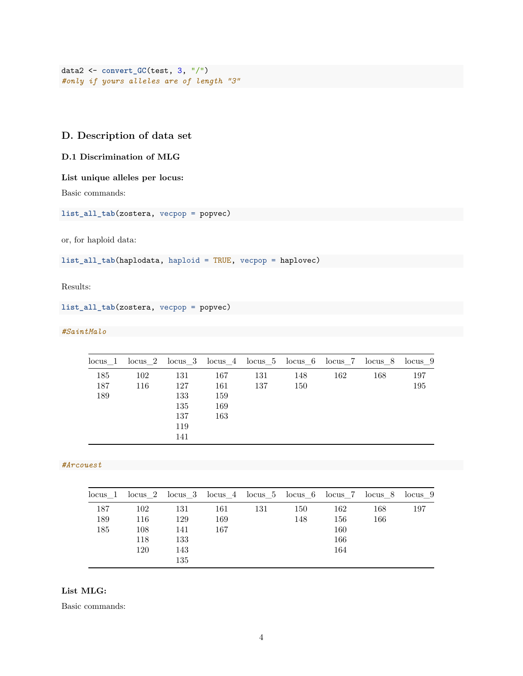```
data2 <- convert_GC(test, 3, "/")
#only if yours alleles are of length "3"
```
## **D. Description of data set**

## **D.1 Discrimination of MLG**

#### **List unique alleles per locus:**

Basic commands:

**list\_all\_tab**(zostera, vecpop = popvec)

or, for haploid data:

**list\_all\_tab**(haplodata, haploid = TRUE, vecpop = haplovec)

Results:

## **list\_all\_tab**(zostera, vecpop = popvec)

## *#SaintMalo*

| locus <sub>1</sub> |            |                                               |                                 |            |            |     | locus 2 locus 3 locus 4 locus 5 locus 6 locus 7 locus 8 locus 9 |            |
|--------------------|------------|-----------------------------------------------|---------------------------------|------------|------------|-----|-----------------------------------------------------------------|------------|
| 185<br>187<br>189  | 102<br>116 | 131<br>127<br>133<br>135<br>137<br>119<br>141 | 167<br>161<br>159<br>169<br>163 | 131<br>137 | 148<br>150 | 162 | 168                                                             | 197<br>195 |

## *#Arcouest*

| $locus$ 1 |     |     | locus 2 locus 3 locus 4 locus 5 locus 6 locus 7 locus 8 locus 9 |     |     |     |     |     |
|-----------|-----|-----|-----------------------------------------------------------------|-----|-----|-----|-----|-----|
| 187       | 102 | 131 | 161                                                             | 131 | 150 | 162 | 168 | 197 |
| 189       | 116 | 129 | 169                                                             |     | 148 | 156 | 166 |     |
| 185       | 108 | 141 | 167                                                             |     |     | 160 |     |     |
|           | 118 | 133 |                                                                 |     |     | 166 |     |     |
|           | 120 | 143 |                                                                 |     |     | 164 |     |     |
|           |     | 135 |                                                                 |     |     |     |     |     |

### **List MLG:**

Basic commands: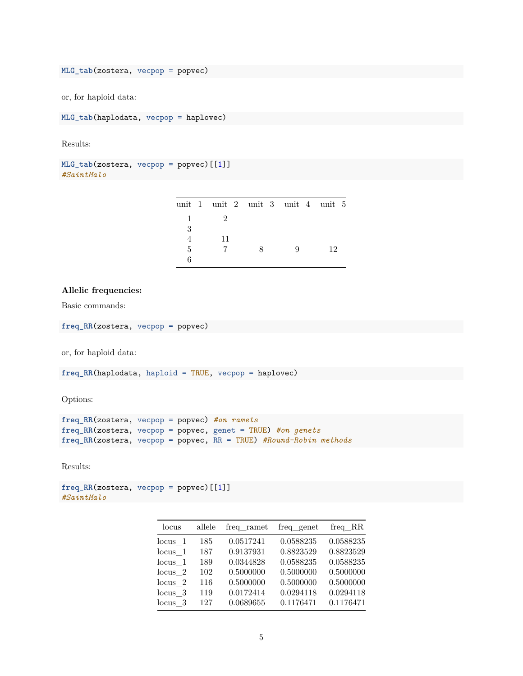**MLG\_tab**(zostera, vecpop = popvec)

or, for haploid data:

**MLG\_tab**(haplodata, vecpop = haplovec)

Results:

```
MLG_tab(zostera, vecpop = popvec)[[1]]
#SaintMalo
```

|   |    | unit_1 unit_2 unit_3 unit_4 unit_5 |    |
|---|----|------------------------------------|----|
|   |    |                                    |    |
| 3 |    |                                    |    |
|   | 11 |                                    |    |
| 5 |    | 9                                  | 12 |
|   |    |                                    |    |

#### **Allelic frequencies:**

Basic commands:

**freq\_RR**(zostera, vecpop = popvec)

or, for haploid data:

**freq\_RR**(haplodata, haploid = TRUE, vecpop = haplovec)

Options:

```
freq_RR(zostera, vecpop = popvec) #on ramets
freq_RR(zostera, vecpop = popvec, genet = TRUE) #on genets
freq_RR(zostera, vecpop = popvec, RR = TRUE) #Round-Robin methods
```
Results:

```
freq_RR(zostera, vecpop = popvec)[[1]]
#SaintMalo
```

| locus              | allele | freq ramet | freq genet | freq RR   |
|--------------------|--------|------------|------------|-----------|
| $locus$ 1          | 185    | 0.0517241  | 0.0588235  | 0.0588235 |
| $locus$ 1          | 187    | 0.9137931  | 0.8823529  | 0.8823529 |
| $locus$ 1          | 189    | 0.0344828  | 0.0588235  | 0.0588235 |
| $locus$ 2          | 102    | 0.5000000  | 0.5000000  | 0.5000000 |
| locus <sub>2</sub> | 116    | 0.5000000  | 0.5000000  | 0.5000000 |
| locus <sub>3</sub> | 119    | 0.0172414  | 0.0294118  | 0.0294118 |
| locus <sub>3</sub> | 127    | 0.0689655  | 0.1176471  | 0.1176471 |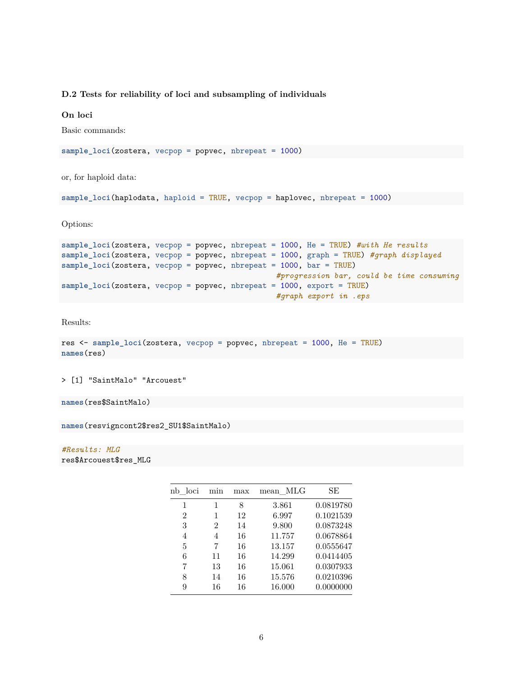## **D.2 Tests for reliability of loci and subsampling of individuals**

#### **On loci**

Basic commands:

```
sample_loci(zostera, vecpop = popvec, nbrepeat = 1000)
```
or, for haploid data:

```
sample_loci(haplodata, haploid = TRUE, vecpop = haplovec, nbrepeat = 1000)
```
Options:

```
sample_loci(zostera, vecpop = popvec, nbrepeat = 1000, He = TRUE) #with He results
sample_loci(zostera, vecpop = popvec, nbrepeat = 1000, graph = TRUE) #graph displayed
sample_loci(zostera, vecpop = popvec, nbrepeat = 1000, bar = TRUE)
                                                #progression bar, could be time consuming
sample_loci(zostera, vecpop = popvec, nbrepeat = 1000, export = TRUE)
                                                #graph export in .eps
```
Results:

```
res <- sample_loci(zostera, vecpop = popvec, nbrepeat = 1000, He = TRUE)
names(res)
```
> [1] "SaintMalo" "Arcouest"

```
names(res$SaintMalo)
```
**names**(resvigncont2\$res2\_SU1\$SaintMalo)

*#Results: MLG* res\$Arcouest\$res\_MLG

| loci<br>nb     | min | max | MLG<br>mean | SE        |
|----------------|-----|-----|-------------|-----------|
| 1              | 1   | 8   | 3.861       | 0.0819780 |
| $\overline{2}$ | 1   | 12  | 6.997       | 0.1021539 |
| 3              | 2   | 14  | 9.800       | 0.0873248 |
| 4              | 4   | 16  | 11.757      | 0.0678864 |
| 5              | 7   | 16  | 13.157      | 0.0555647 |
| 6              | 11  | 16  | 14.299      | 0.0414405 |
| 7              | 13  | 16  | 15.061      | 0.0307933 |
| 8              | 14  | 16  | 15.576      | 0.0210396 |
| 9              | 16  | 16  | 16.000      | 0.0000000 |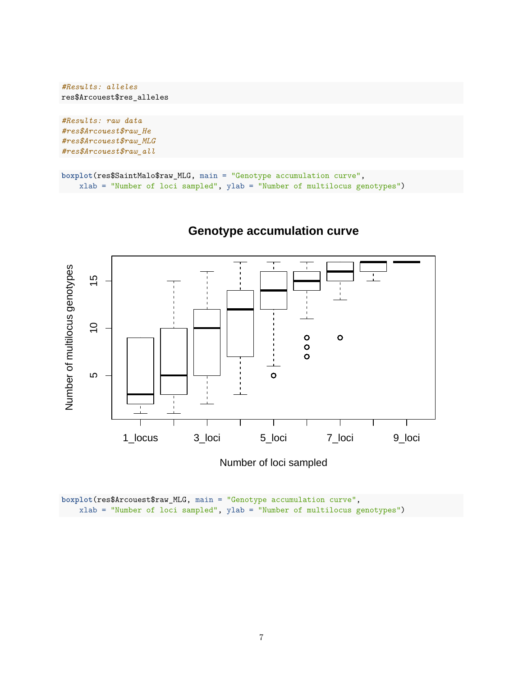```
#Results: alleles
res$Arcouest$res_alleles
```
*#Results: raw data #res\$Arcouest\$raw\_He #res\$Arcouest\$raw\_MLG #res\$Arcouest\$raw\_all*

```
boxplot(res$SaintMalo$raw_MLG, main = "Genotype accumulation curve",
   xlab = "Number of loci sampled", ylab = "Number of multilocus genotypes")
```


## **Genotype accumulation curve**

**boxplot**(res\$Arcouest\$raw\_MLG, main = "Genotype accumulation curve", xlab = "Number of loci sampled", ylab = "Number of multilocus genotypes")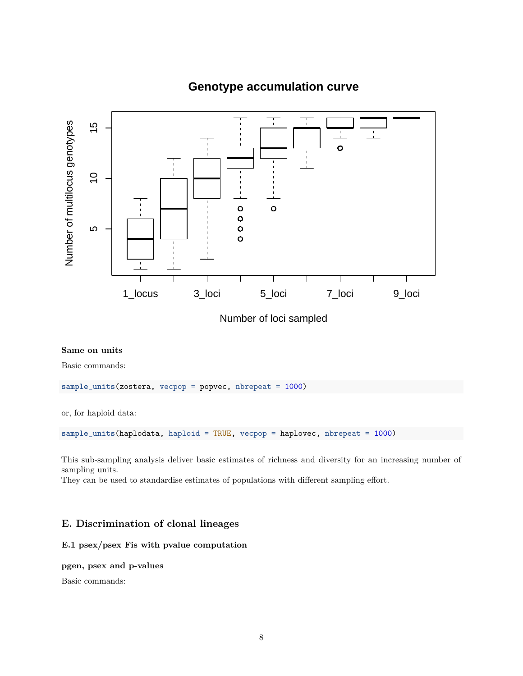

## **Genotype accumulation curve**

Number of loci sampled

## **Same on units**

Basic commands:

**sample\_units**(zostera, vecpop = popvec, nbrepeat = 1000)

or, for haploid data:

**sample\_units**(haplodata, haploid = TRUE, vecpop = haplovec, nbrepeat = 1000)

This sub-sampling analysis deliver basic estimates of richness and diversity for an increasing number of sampling units.

They can be used to standardise estimates of populations with different sampling effort.

## **E. Discrimination of clonal lineages**

## **E.1 psex/psex Fis with pvalue computation**

## **pgen, psex and p-values**

Basic commands: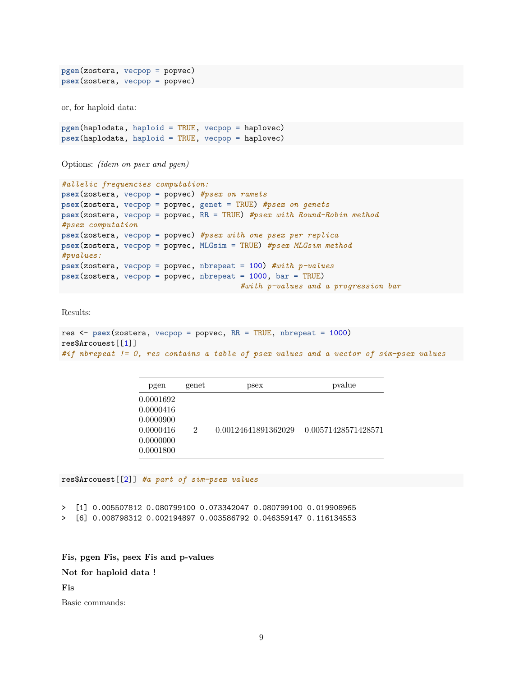**pgen**(zostera, vecpop = popvec) **psex**(zostera, vecpop = popvec)

or, for haploid data:

```
pgen(haplodata, haploid = TRUE, vecpop = haplovec)
psex(haplodata, haploid = TRUE, vecpop = haplovec)
```
Options: *(idem on psex and pgen)*

```
#allelic frequencies computation:
psex(zostera, vecpop = popvec) #psex on ramets
psex(zostera, vecpop = popvec, genet = TRUE) #psex on genets
psex(zostera, vecpop = popvec, RR = TRUE) #psex with Round-Robin method
#psex computation
psex(zostera, vecpop = popvec) #psex with one psex per replica
psex(zostera, vecpop = popvec, MLGsim = TRUE) #psex MLGsim method
#pvalues:
psex(zostera, vecpop = popvec, nbrepeat = 100) #with p-values
psex(zostera, vecpop = popvec, nbrepeat = 1000, bar = TRUE)
                                        #with p-values and a progression bar
```
Results:

```
res <- psex(zostera, vecpop = popvec, RR = TRUE, nbrepeat = 1000)
res$Arcouest[[1]]
#if nbrepeat != 0, res contains a table of psex values and a vector of sim-psex values
```

| pgen                                                                       | genet | psex                | pvalue              |
|----------------------------------------------------------------------------|-------|---------------------|---------------------|
| 0.0001692<br>0.0000416<br>0.0000900<br>0.0000416<br>0.0000000<br>0.0001800 | 2     | 0.00124641891362029 | 0.00571428571428571 |

res\$Arcouest[[2]] *#a part of sim-psex values*

> [1] 0.005507812 0.080799100 0.073342047 0.080799100 0.019908965

> [6] 0.008798312 0.002194897 0.003586792 0.046359147 0.116134553

**Fis, pgen Fis, psex Fis and p-values**

**Not for haploid data !**

**Fis**

Basic commands: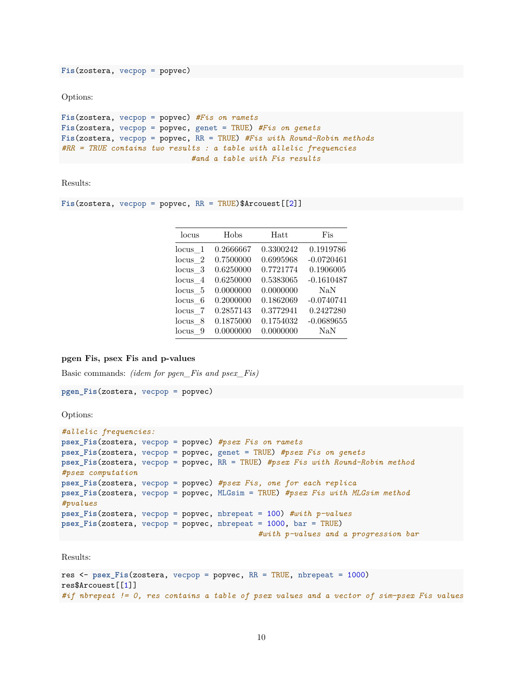**Fis**(zostera, vecpop = popvec)

Options:

```
Fis(zostera, vecpop = popvec) #Fis on ramets
Fis(zostera, vecpop = popvec, genet = TRUE) #Fis on genets
Fis(zostera, vecpop = popvec, RR = TRUE) #Fis with Round-Robin methods
#RR = TRUE contains two results : a table with allelic frequencies
                            #and a table with Fis results
```
Results:

**Fis**(zostera, vecpop = popvec, RR = TRUE)\$Arcouest[[2]]

| locus              | Hobs      | Hatt      | Fis          |
|--------------------|-----------|-----------|--------------|
| $locus$ 1          | 0.2666667 | 0.3300242 | 0.1919786    |
| locus <sub>2</sub> | 0.7500000 | 0.6995968 | $-0.0720461$ |
| locus <sub>3</sub> | 0.6250000 | 0.7721774 | 0.1906005    |
| $locus$ 4          | 0.6250000 | 0.5383065 | $-0.1610487$ |
| $locus \t5$        | 0.0000000 | 0.0000000 | <b>NaN</b>   |
| $locus \quad 6$    | 0.2000000 | 0.1862069 | $-0.0740741$ |
| locus 7            | 0.2857143 | 0.3772941 | 0.2427280    |
| $locus \ 8$        | 0.1875000 | 0.1754032 | $-0.0689655$ |
| $locus \quad 9$    | 0.0000000 | 0.0000000 | $\rm NaN$    |

#### **pgen Fis, psex Fis and p-values**

Basic commands: *(idem for pgen\_Fis and psex\_Fis)*

**pgen\_Fis**(zostera, vecpop = popvec)

Options:

```
#allelic frequencies:
psex_Fis(zostera, vecpop = popvec) #psex Fis on ramets
psex_Fis(zostera, vecpop = popvec, genet = TRUE) #psex Fis on genets
psex_Fis(zostera, vecpop = popvec, RR = TRUE) #psex Fis with Round-Robin method
#psex computation
psex_Fis(zostera, vecpop = popvec) #psex Fis, one for each replica
psex_Fis(zostera, vecpop = popvec, MLGsim = TRUE) #psex Fis with MLGsim method
#pvalues
psex_Fis(zostera, vecpop = popvec, nbrepeat = 100) #with p-values
psex_Fis(zostera, vecpop = popvec, nbrepeat = 1000, bar = TRUE)
                                            #with p-values and a progression bar
```
Results:

```
res <- psex_Fis(zostera, vecpop = popvec, RR = TRUE, nbrepeat = 1000)
res$Arcouest[[1]]
#if nbrepeat != 0, res contains a table of psex values and a vector of sim-psex Fis values
```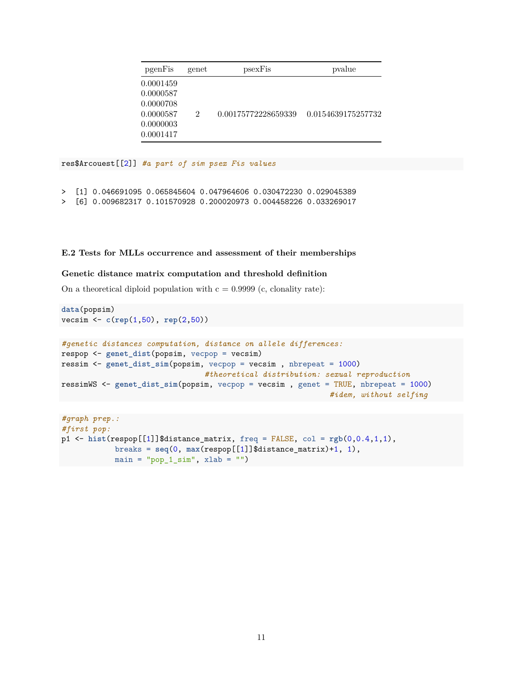| pgenFis                                                                    | genet         | psexFis             | pvalue             |
|----------------------------------------------------------------------------|---------------|---------------------|--------------------|
| 0.0001459<br>0.0000587<br>0.0000708<br>0.0000587<br>0.0000003<br>0.0001417 | $\mathcal{D}$ | 0.00175772228659339 | 0.0154639175257732 |

res\$Arcouest[[2]] *#a part of sim psex Fis values*

- > [1] 0.046691095 0.065845604 0.047964606 0.030472230 0.029045389
- > [6] 0.009682317 0.101570928 0.200020973 0.004458226 0.033269017

#### **E.2 Tests for MLLs occurrence and assessment of their memberships**

### **Genetic distance matrix computation and threshold definition**

On a theoretical diploid population with  $c = 0.9999$  (c, clonality rate):

```
data(popsim)
vecsim <- c(rep(1,50), rep(2,50))
#genetic distances computation, distance on allele differences:
respop <- genet_dist(popsim, vecpop = vecsim)
ressim <- genet_dist_sim(popsim, vecpop = vecsim , nbrepeat = 1000)
                                #theoretical distribution: sexual reproduction
ressimWS <- genet_dist_sim(popsim, vecpop = vecsim , genet = TRUE, nbrepeat = 1000)
                                                            #idem, without selfing
```

```
#graph prep.:
#first pop:
p1 \leq - hist(\text{resp.}[[1]]\$distance_matrix, freq = \text{FALSE}, col = \text{rgb}(0, 0.4, 1, 1),
             breaks = seq(0, max(respop[[1]]$distance_matrix)+1, 1),
             main = "pop_1_sim", xlab = "")
```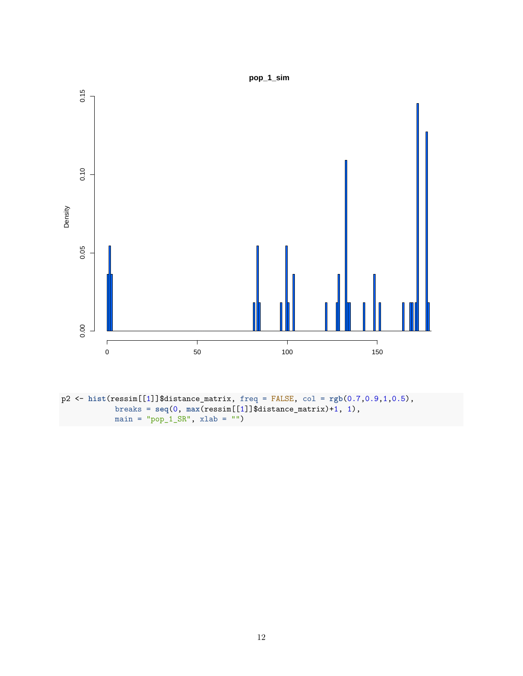

p2 <- **hist**(ressim[[1]]\$distance\_matrix, freq = FALSE, col = **rgb**(0.7,0.9,1,0.5), breaks = **seq**(0, **max**(ressim[[1]]\$distance\_matrix)+1, 1),  $main = "pop_1_SR", xlab = "")$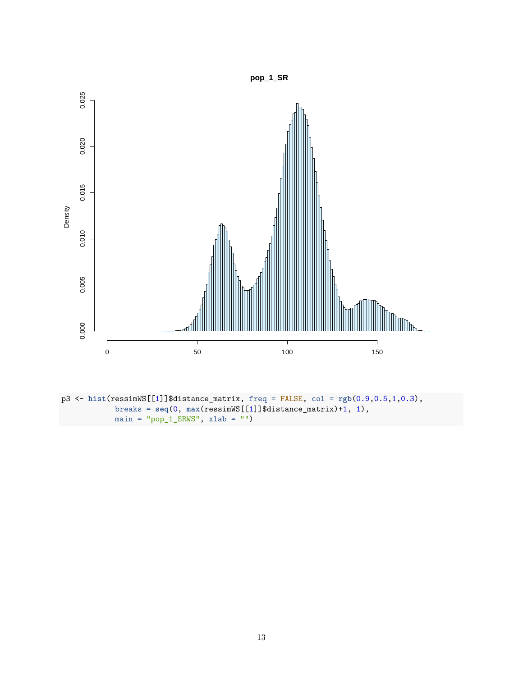

p3 <- **hist**(ressimWS[[1]]\$distance\_matrix, freq = FALSE, col = **rgb**(0.9,0.5,1,0.3), breaks = **seq**(0, **max**(ressimWS[[1]]\$distance\_matrix)+1, 1),  $main = "pop_1_SRWS", xlab = "")$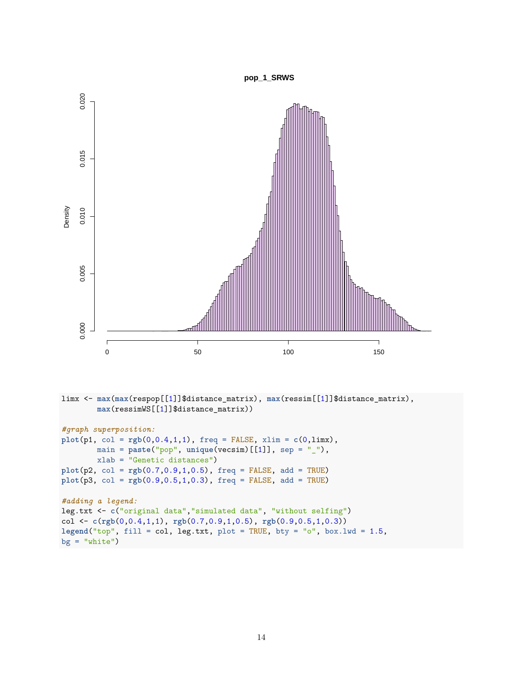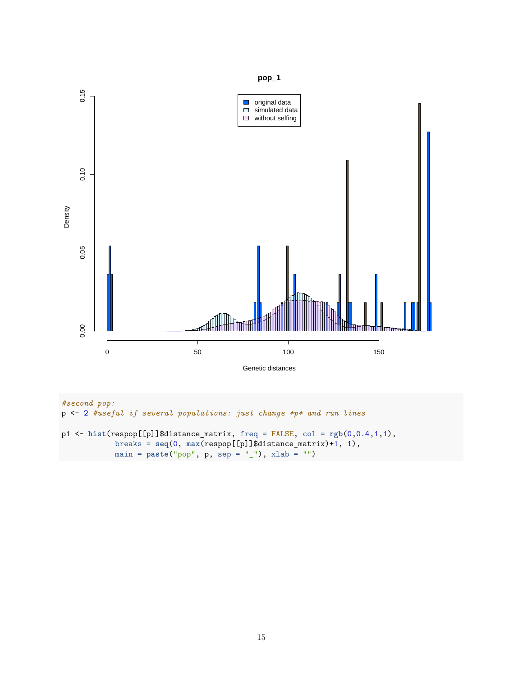

*#second pop:* p <- 2 *#useful if several populations: just change \*p\* and run lines* p1 <- **hist**(respop[[p]]\$distance\_matrix, freq = FALSE, col = **rgb**(0,0.4,1,1), breaks = **seq**(0, **max**(respop[[p]]\$distance\_matrix)+1, 1), main = **paste**("pop", p, sep = "\_"), xlab = "")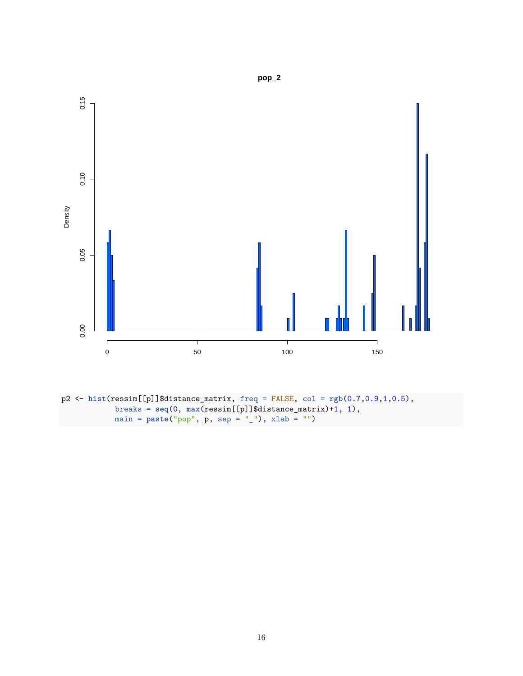

p2 <- **hist**(ressim[[p]]\$distance\_matrix, freq = FALSE, col = **rgb**(0.7,0.9,1,0.5), breaks = **seq**(0, **max**(ressim[[p]]\$distance\_matrix)+1, 1), main = **paste**("pop", p, sep = "\_"), xlab = "")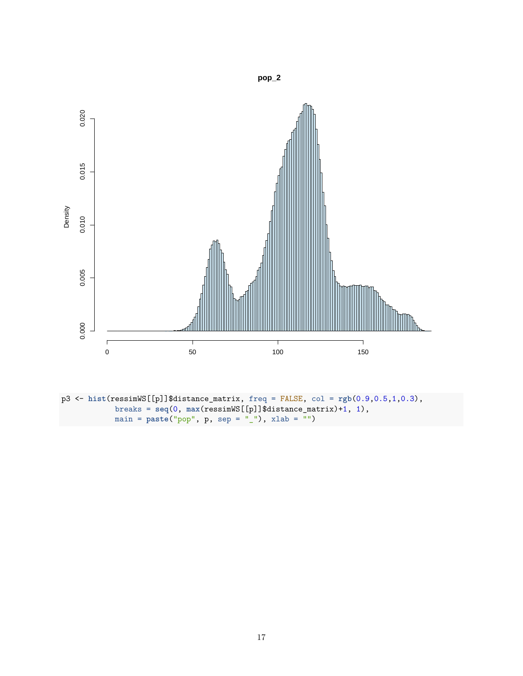

p3 <- **hist**(ressimWS[[p]]\$distance\_matrix, freq = FALSE, col = **rgb**(0.9,0.5,1,0.3), breaks = **seq**(0, **max**(ressimWS[[p]]\$distance\_matrix)+1, 1), main = **paste**("pop", p, sep = "\_"), xlab = "")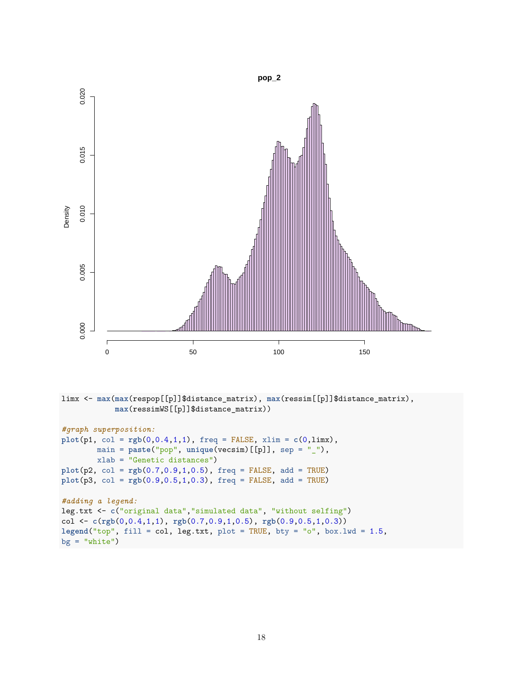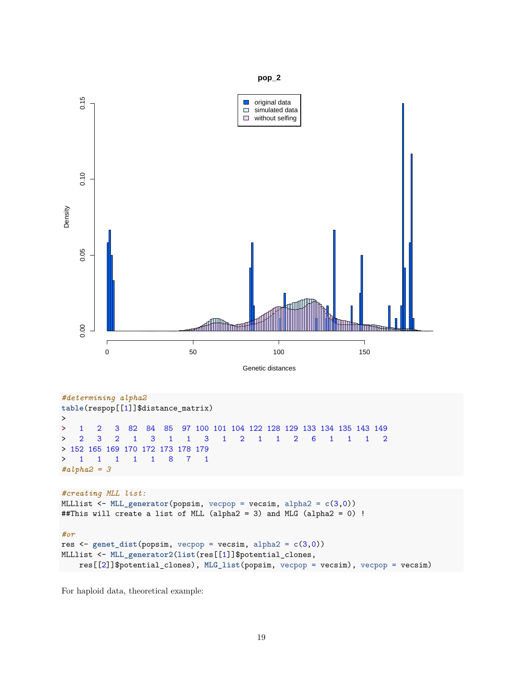

```
> 1 1 1 1 1 8 7 1
#alpha2 = 3
```

```
#creating MLL list:
MLLlist <- MLL_generator(popsim, vecpop = vecsim, alpha2 = c(3,0))
##This will create a list of MLL (alpha2 = 3) and MLG (alpha2 = 0) !
#or
res <- genet_dist(popsim, vecpop = vecsim, alpha2 = c(3,0))
MLLlist <- MLL_generator2(list(res[[1]]$potential_clones,
    res[[2]]$potential_clones), MLG_list(popsim, vecpop = vecsim), vecpop = vecsim)
```
For haploid data, theoretical example: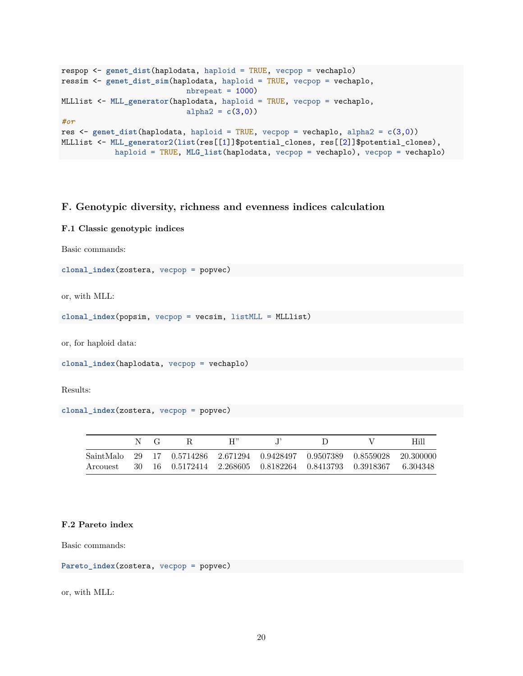```
respop <- genet_dist(haplodata, haploid = TRUE, vecpop = vechaplo)
ressim <- genet_dist_sim(haplodata, haploid = TRUE, vecpop = vechaplo,
                            nbrepeat = 1000)
MLLlist <- MLL_generator(haplodata, haploid = TRUE, vecpop = vechaplo,
                            alpha2 = c(3,0)#or
res <- genet_dist(haplodata, haploid = TRUE, vecpop = vechaplo, alpha2 = c(3,0))
MLLlist <- MLL_generator2(list(res[[1]]$potential_clones, res[[2]]$potential_clones),
           haploid = TRUE, MLG_list(haplodata, vecpop = vechaplo), vecpop = vechaplo)
```
## **F. Genotypic diversity, richness and evenness indices calculation**

### **F.1 Classic genotypic indices**

Basic commands:

**clonal\_index**(zostera, vecpop = popvec)

or, with MLL:

```
clonal_index(popsim, vecpop = vecsim, listMLL = MLLlist)
```
or, for haploid data:

```
clonal_index(haplodata, vecpop = vechaplo)
```
Results:

```
clonal_index(zostera, vecpop = popvec)
```

|  | N(G) | -к                                                                         | H'' |  | Hill |
|--|------|----------------------------------------------------------------------------|-----|--|------|
|  |      | SaintMalo 29 17 0.5714286 2.671294 0.9428497 0.9507389 0.8559028 20.300000 |     |  |      |
|  |      | Arcouest 30 16 0.5172414 2.268605 0.8182264 0.8413793 0.3918367 6.304348   |     |  |      |

#### **F.2 Pareto index**

Basic commands:

**Pareto\_index**(zostera, vecpop = popvec)

or, with MLL: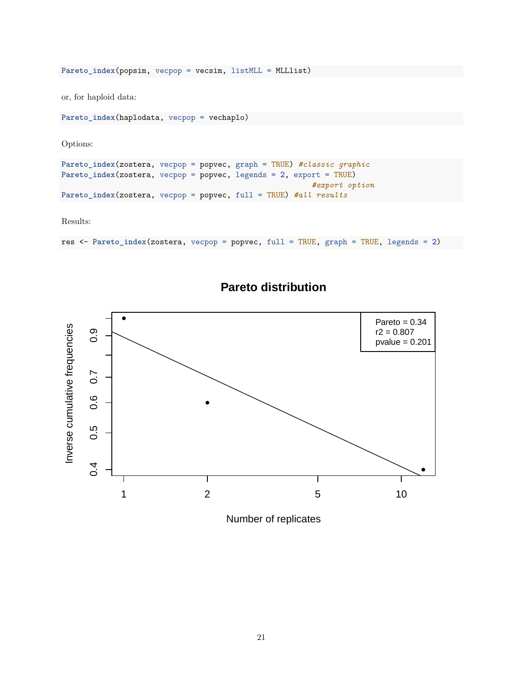**Pareto\_index**(popsim, vecpop = vecsim, listMLL = MLLlist)

or, for haploid data:

```
Pareto_index(haplodata, vecpop = vechaplo)
```
Options:

```
Pareto_index(zostera, vecpop = popvec, graph = TRUE) #classic graphic
Pareto_index(zostera, vecpop = popvec, legends = 2, export = TRUE)
                                                        #export option
Pareto_index(zostera, vecpop = popvec, full = TRUE) #all results
```
Results:

```
res <- Pareto_index(zostera, vecpop = popvec, full = TRUE, graph = TRUE, legends = 2)
```


## **Pareto distribution**

Number of replicates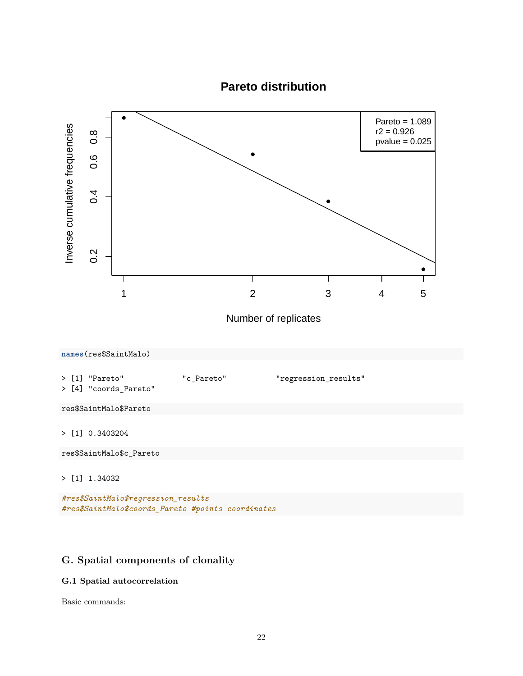

## **G. Spatial components of clonality**

## **G.1 Spatial autocorrelation**

Basic commands: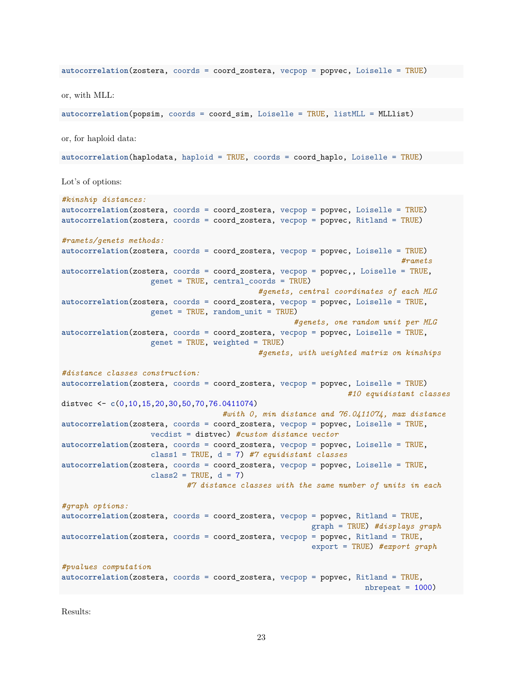**autocorrelation**(zostera, coords = coord\_zostera, vecpop = popvec, Loiselle = TRUE) or, with MLL: **autocorrelation**(popsim, coords = coord\_sim, Loiselle = TRUE, listMLL = MLLlist) or, for haploid data: **autocorrelation**(haplodata, haploid = TRUE, coords = coord\_haplo, Loiselle = TRUE) Lot's of options: *#kinship distances:* **autocorrelation**(zostera, coords = coord\_zostera, vecpop = popvec, Loiselle = TRUE) **autocorrelation**(zostera, coords = coord\_zostera, vecpop = popvec, Ritland = TRUE) *#ramets/genets methods:* **autocorrelation**(zostera, coords = coord\_zostera, vecpop = popvec, Loiselle = TRUE) *#ramets* autocorrelation(zostera, coords = coord\_zostera, vecpop = popvec,, Loiselle = TRUE, genet = TRUE, central\_coords = TRUE) *#genets, central coordinates of each MLG* **autocorrelation**(zostera, coords = coord\_zostera, vecpop = popvec, Loiselle = TRUE, genet = TRUE, random\_unit = TRUE) *#genets, one random unit per MLG* **autocorrelation**(zostera, coords = coord\_zostera, vecpop = popvec, Loiselle = TRUE, genet = TRUE, weighted = TRUE) *#genets, with weighted matrix on kinships #distance classes construction:* **autocorrelation**(zostera, coords = coord\_zostera, vecpop = popvec, Loiselle = TRUE) *#10 equidistant classes* distvec <- **c**(0,10,15,20,30,50,70,76.0411074) *#with 0, min distance and 76.0411074, max distance* **autocorrelation**(zostera, coords = coord\_zostera, vecpop = popvec, Loiselle = TRUE, vecdist = distvec) *#custom distance vector* **autocorrelation**(zostera, coords = coord\_zostera, vecpop = popvec, Loiselle = TRUE, class1 = TRUE, d = 7) *#7 equidistant classes* **autocorrelation**(zostera, coords = coord\_zostera, vecpop = popvec, Loiselle = TRUE, class2 = TRUE,  $d = 7$ ) *#7 distance classes with the same number of units in each #graph options:* **autocorrelation**(zostera, coords = coord\_zostera, vecpop = popvec, Ritland = TRUE, graph = TRUE) *#displays graph* autocorrelation(zostera, coords = coord\_zostera, vecpop = popvec, Ritland = TRUE, export = TRUE) *#export graph #pvalues computation* **autocorrelation**(zostera, coords = coord\_zostera, vecpop = popvec, Ritland = TRUE,  $n$ brepeat =  $1000$ )

Results: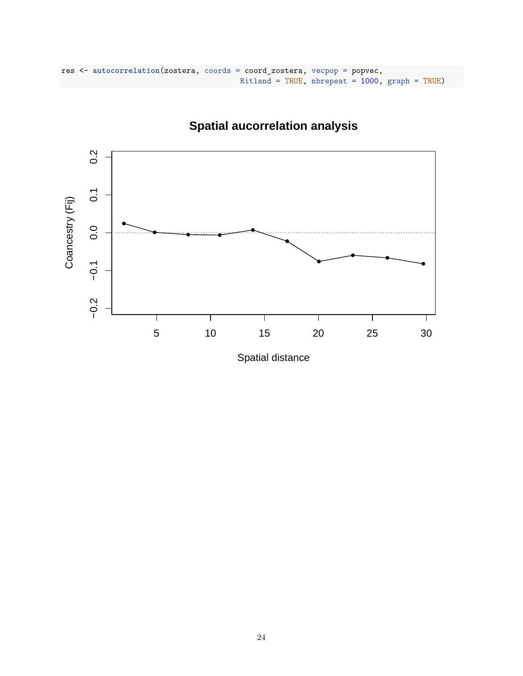```
res <- autocorrelation(zostera, coords = coord_zostera, vecpop = popvec,
                                        Ritland = TRUE, nbrepeat = 1000, graph = TRUE)
```


# **Spatial aucorrelation analysis**

Spatial distance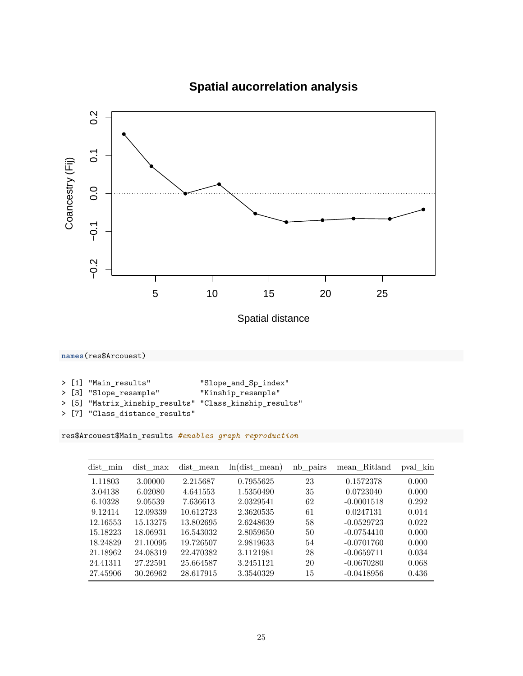

# **Spatial aucorrelation analysis**

Spatial distance

**names**(res\$Arcouest)

|  |  | > [1] "Main results" | "Slope_and_Sp_index" |
|--|--|----------------------|----------------------|
|--|--|----------------------|----------------------|

- > [3] "Slope\_resample" "Kinship\_resample"
- > [5] "Matrix\_kinship\_results" "Class\_kinship\_results"
- > [7] "Class\_distance\_results"

res\$Arcouest\$Main\_results *#enables graph reproduction*

| dist min | dist max | dist mean | $ln(dist$ mean) | nb pairs | mean Ritland | pval kin |
|----------|----------|-----------|-----------------|----------|--------------|----------|
| 1.11803  | 3.00000  | 2.215687  | 0.7955625       | 23       | 0.1572378    | 0.000    |
| 3.04138  | 6.02080  | 4.641553  | 1.5350490       | 35       | 0.0723040    | 0.000    |
| 6.10328  | 9.05539  | 7.636613  | 2.0329541       | 62       | $-0.0001518$ | 0.292    |
| 9.12414  | 12.09339 | 10.612723 | 2.3620535       | 61       | 0.0247131    | 0.014    |
| 12.16553 | 15.13275 | 13.802695 | 2.6248639       | 58       | $-0.0529723$ | 0.022    |
| 15.18223 | 18.06931 | 16.543032 | 2.8059650       | 50       | $-0.0754410$ | 0.000    |
| 18.24829 | 21.10095 | 19.726507 | 2.9819633       | 54       | $-0.0701760$ | 0.000    |
| 21.18962 | 24.08319 | 22.470382 | 3.1121981       | 28       | $-0.0659711$ | 0.034    |
| 24.41311 | 27.22591 | 25.664587 | 3.2451121       | 20       | $-0.0670280$ | 0.068    |
| 27.45906 | 30.26962 | 28.617915 | 3.3540329       | 15       | $-0.0418956$ | 0.436    |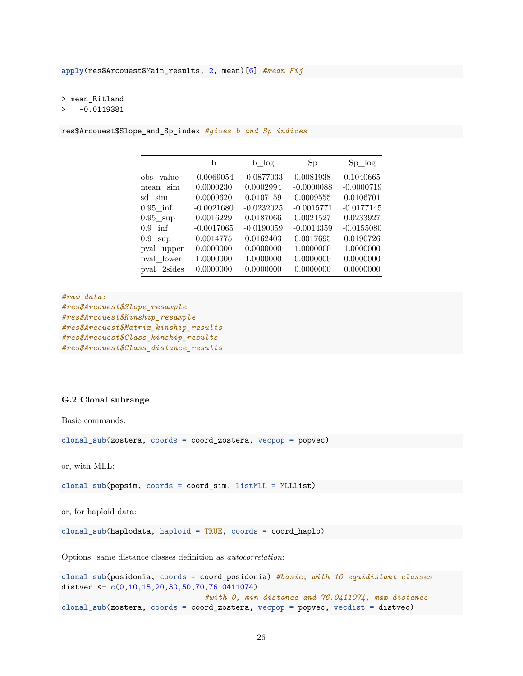> mean\_Ritland

#### > -0.0119381

res\$Arcouest\$Slope\_and\_Sp\_index *#gives b and Sp indices*

|                   | b            | $b \log$     | Sp           | $Sp \log$    |
|-------------------|--------------|--------------|--------------|--------------|
| obs value         | $-0.0069054$ | $-0.0877033$ | 0.0081938    | 0.1040665    |
| mean sim          | 0.0000230    | 0.0002994    | $-0.0000088$ | $-0.0000719$ |
| sd sim            | 0.0009620    | 0.0107159    | 0.0009555    | 0.0106701    |
| $0.95$ inf        | $-0.0021680$ | $-0.0232025$ | $-0.0015771$ | $-0.0177145$ |
| $0.95$ sup        | 0.0016229    | 0.0187066    | 0.0021527    | 0.0233927    |
| $0.9$ inf         | $-0.0017065$ | $-0.0190059$ | $-0.0014359$ | $-0.0155080$ |
| $0.9 \text{ sup}$ | 0.0014775    | 0.0162403    | 0.0017695    | 0.0190726    |
| pval upper        | 0.0000000    | 0.0000000    | 1.0000000    | 1.0000000    |
| pval lower        | 1.0000000    | 1.0000000    | 0.0000000    | 0.0000000    |
| pval 2sides       | 0.0000000    | 0.0000000    | 0.0000000    | 0.0000000    |

```
#raw data:
#res$Arcouest$Slope_resample
#res$Arcouest$Kinship_resample
#res$Arcouest$Matrix_kinship_results
#res$Arcouest$Class_kinship_results
#res$Arcouest$Class_distance_results
```
#### **G.2 Clonal subrange**

Basic commands:

**clonal\_sub**(zostera, coords = coord\_zostera, vecpop = popvec)

or, with MLL:

**clonal\_sub**(popsim, coords = coord\_sim, listMLL = MLLlist)

or, for haploid data:

**clonal\_sub**(haplodata, haploid = TRUE, coords = coord\_haplo)

Options: same distance classes definition as *autocorrelation*:

**clonal\_sub**(posidonia, coords = coord\_posidonia) *#basic, with 10 equidistant classes* distvec <- **c**(0,10,15,20,30,50,70,76.0411074) *#with 0, min distance and 76.0411074, max distance* **clonal\_sub**(zostera, coords = coord\_zostera, vecpop = popvec, vecdist = distvec)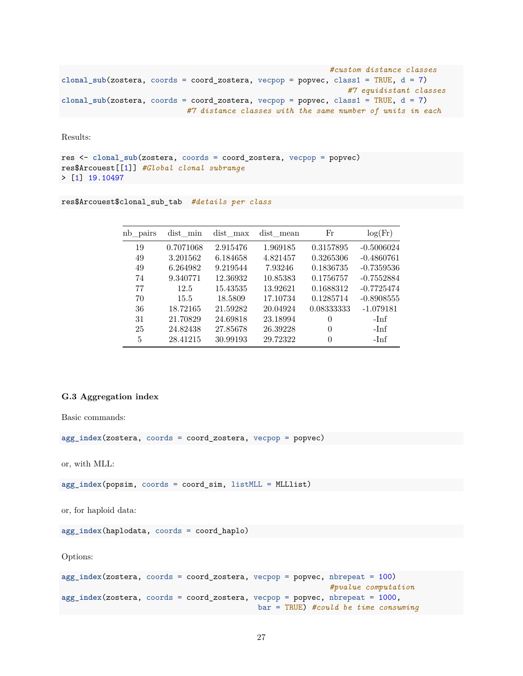```
#custom distance classes
clonal_sub(zostera, coords = coord_zostera, vecpop = popvec, class1 = TRUE, d = 7)
                                                                #7 equidistant classes
clonal_sub(zostera, coords = coord_zostera, vecpop = popvec, class1 = TRUE, d = 7)
                            #7 distance classes with the same number of units in each
```
Results:

```
res <- clonal_sub(zostera, coords = coord_zostera, vecpop = popvec)
res$Arcouest[[1]] #Global clonal subrange
> [1] 19.10497
```
res\$Arcouest\$clonal\_sub\_tab *#details per class*

| nb pairs | dist min  | dist max | dist mean | Fr         | log(Fr)      |
|----------|-----------|----------|-----------|------------|--------------|
| 19       | 0.7071068 | 2.915476 | 1.969185  | 0.3157895  | $-0.5006024$ |
| 49       | 3.201562  | 6.184658 | 4.821457  | 0.3265306  | $-0.4860761$ |
| 49       | 6.264982  | 9.219544 | 7.93246   | 0.1836735  | $-0.7359536$ |
| 74       | 9.340771  | 12.36932 | 10.85383  | 0.1756757  | $-0.7552884$ |
| 77       | 12.5      | 15.43535 | 13.92621  | 0.1688312  | $-0.7725474$ |
| 70       | 15.5      | 18.5809  | 17.10734  | 0.1285714  | $-0.8908555$ |
| 36       | 18.72165  | 21.59282 | 20.04924  | 0.08333333 | $-1.079181$  |
| 31       | 21.70829  | 24.69818 | 23.18994  | 0          | $-Imf$       |
| 25       | 24.82438  | 27.85678 | 26.39228  | $\theta$   | -Inf         |
| 5        | 28.41215  | 30.99193 | 29.72322  | 0          | -Inf         |

#### **G.3 Aggregation index**

Basic commands:

**agg\_index**(zostera, coords = coord\_zostera, vecpop = popvec)

or, with MLL:

**agg\_index**(popsim, coords = coord\_sim, listMLL = MLLlist)

or, for haploid data:

**agg\_index**(haplodata, coords = coord\_haplo)

Options:

```
agg_index(zostera, coords = coord_zostera, vecpop = popvec, nbrepeat = 100)
                                                            #pvalue computation
agg_index(zostera, coords = coord_zostera, vecpop = popvec, nbrepeat = 1000,
                                            bar = TRUE) #could be time consuming
```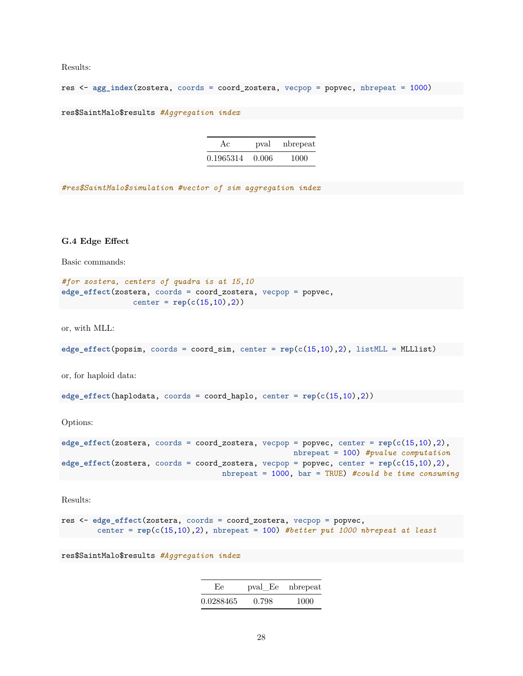Results:

res <- **agg\_index**(zostera, coords = coord\_zostera, vecpop = popvec, nbrepeat = 1000)

res\$SaintMalo\$results *#Aggregation index*

| Ac        | pval  | nbrepeat |
|-----------|-------|----------|
| 0.1965314 | 0.006 | 1000     |

*#res\$SaintMalo\$simulation #vector of sim aggregation index*

### **G.4 Edge Effect**

Basic commands:

```
#for zostera, centers of quadra is at 15,10
edge_effect(zostera, coords = coord_zostera, vecpop = popvec,
               center = rep(c(15,10),2))
```
or, with MLL:

**edge**  $effect(popsim, *coordinates* = *coord sim*, *center* =  $rep(c(15,10),2)$ ,  $listMLL = \text{MLList}$ )$ 

or, for haploid data:

**edge\_effect**(haplodata, coords = coord\_haplo, center = **rep**(**c**(15,10),2))

Options:

```
edge_effect(zostera, coords = coord_zostera, vecpop = popvec, center = rep(c(15,10),2),
                                                   nbrepeat = 100) #pvalue computation
edge_effect(zostera, coords = coord_zostera, vecpop = popvec, center = rep(c(15,10),2),
                                   nbrepeat = 1000, bar = TRUE) #could be time consuming
```
Results:

```
res <- edge_effect(zostera, coords = coord_zostera, vecpop = popvec,
       center = rep(c(15,10),2), nbrepeat = 100) #better put 1000 nbrepeat at least
```
res\$SaintMalo\$results *#Aggregation index*

| Ee.       |       | pval_Ee nbrepeat |
|-----------|-------|------------------|
| 0.0288465 | 0.798 | 1000             |